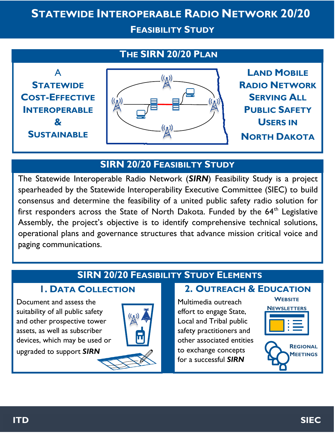# **STATEWIDE INTEROPERABLE RADIO NETWORK 20/20**

**FEASIBILITY STUDY**

# **THE SIRN 20/20 PLAN**



# **SIRN 20/20 FEASIBILTY STUDY**

The Statewide Interoperable Radio Network (*SIRN*) Feasibility Study is a project spearheaded by the Statewide Interoperability Executive Committee (SIEC) to build consensus and determine the feasibility of a united public safety radio solution for first responders across the State of North Dakota. Funded by the  $64<sup>th</sup>$  Legislative Assembly, the project's objective is to identify comprehensive technical solutions, operational plans and governance structures that advance mission critical voice and paging communications.

# **SIRN 20/20 FEASIBILITY STUDY ELEMENTS**

Document and assess the suitability of all public safety and other prospective tower assets, as well as subscriber devices, which may be used or upgraded to support *SIRN*



### **1. DATA COLLECTION 2. OUTREACH & EDUCATION**

Multimedia outreach effort to engage State, Local and Tribal public safety practitioners and other associated entities to exchange concepts for a successful *SIRN*





**ITD SIEC**